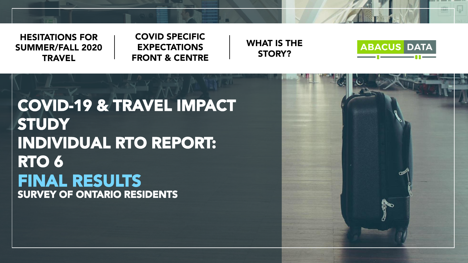

HESITATIONS FOR SUMMER/FALL 2020 **TRAVEL** 

#### COVID SPECIFIC EXPECTATIONS FRONT & CENTRE





COVID-19 & TRAVEL IMPACT **STUDY** INDIVIDUAL RTO REPORT: RTO 6 FINAL RESULTS SURVEY OF ONTARIO RESIDENTS

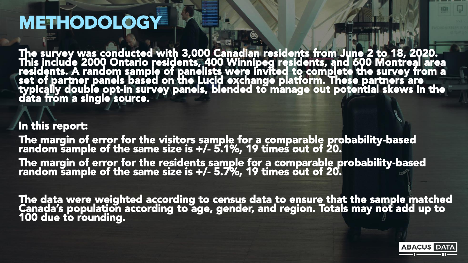#### **METHODOLOGY**

The survey was conducted with 3,000 Canadian residents from June 2 to 18, 2020. This include 2000 Ontario residents, 400 Winnipeg residents, and 600 Montreal area residents. A random sample of panelists were invited to complete the survey from a set of partner panels based on the Lucid exchange platform. These partners are typically double opt-in survey panels, blended to manage out potential skews in the data from a single source.

#### In this report:

The margin of error for the visitors sample for a comparable probability-based random sample of the same size is +/- 5.1%, 19 times out of 20.

The margin of error for the residents sample for a comparable probability-based random sample of the same size is +/- 5.7%, 19 times out of 20.  $\,$ 

The data were weighted according to census data to ensure that the sample matched Canada's population according to age, gender, and region. Totals may not add up to 100 due to rounding.

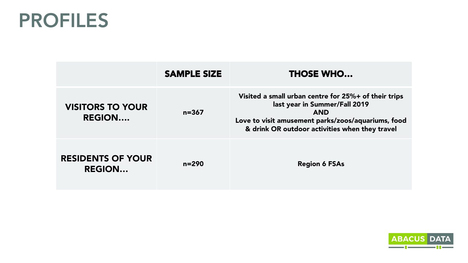### PROFILES

|                                           | <b>SAMPLE SIZE</b> | <b>THOSE WHO</b>                                                                                                                                                                                            |
|-------------------------------------------|--------------------|-------------------------------------------------------------------------------------------------------------------------------------------------------------------------------------------------------------|
| <b>VISITORS TO YOUR</b><br><b>REGION</b>  | $n = 367$          | Visited a small urban centre for 25%+ of their trips<br>last year in Summer/Fall 2019<br><b>AND</b><br>Love to visit amusement parks/zoos/aquariums, food<br>& drink OR outdoor activities when they travel |
| <b>RESIDENTS OF YOUR</b><br><b>REGION</b> | $n = 290$          | <b>Region 6 FSAs</b>                                                                                                                                                                                        |

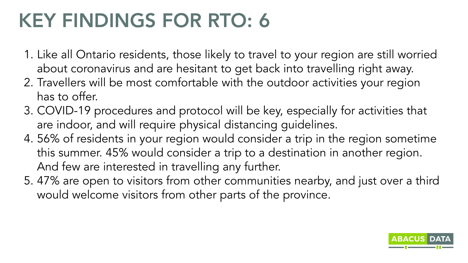# KEY FINDINGS FOR RTO: 6

- 1. Like all Ontario residents, those likely to travel to your region are still worried about coronavirus and are hesitant to get back into travelling right away.
- 2. Travellers will be most comfortable with the outdoor activities your region has to offer.
- 3. COVID-19 procedures and protocol will be key, especially for activities that are indoor, and will require physical distancing guidelines.
- 4. 56% of residents in your region would consider a trip in the region sometime this summer. 45% would consider a trip to a destination in another region. And few are interested in travelling any further.
- 5. 47% are open to visitors from other communities nearby, and just over a third would welcome visitors from other parts of the province.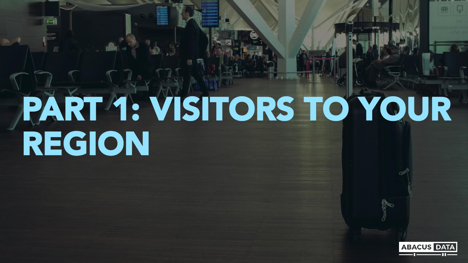# PART 1: VISITORS TO YOUR REGION

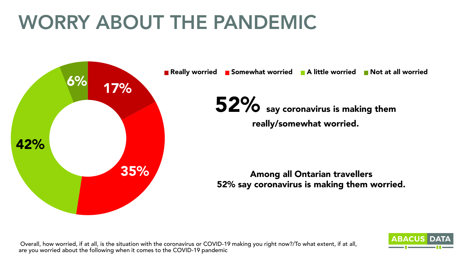# WORRY ABOUT THE PANDEMIC



■ Really worried ■ Somewhat worried ■ A little worried ■ Not at all worried

52% say coronavirus is making them really/somewhat worried.

Among all Ontarian travellers 52% say coronavirus is making them worried.

Overall, how worried, if at all, is the situation with the coronavirus or COVID-19 making you right now?/To what extent, if at all, are you worried about the following when it comes to the COVID-19 pandemic

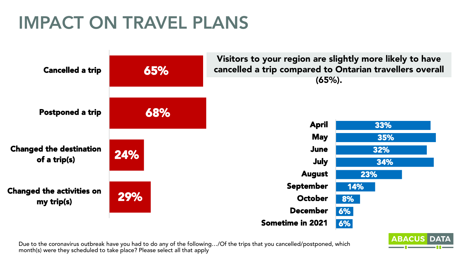### IMPACT ON TRAVEL PLANS



Due to the coronavirus outbreak have you had to do any of the following…/Of the trips that you cancelled/postponed, which month(s) were they scheduled to take place? Please select all that apply

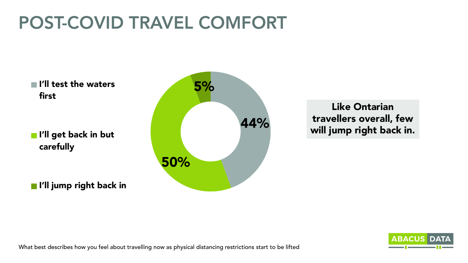#### POST-COVID TRAVEL COMFORT

 $\blacksquare$  I'll test the waters  $\blacksquare$   $\blacksquare$ first

I'll get back in but carefully

**I'll jump right back in** 



#### Like Ontarian travellers overall, few will jump right back in.

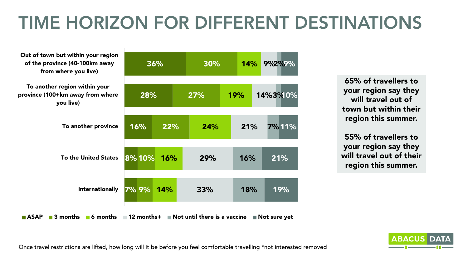### TIME HORIZON FOR DIFFERENT DESTINATIONS

| Out of town but within your region<br>of the province (40-100km away<br>from where you live) | 36%        |     | 30%                          | 14%        | 9%2%%        |
|----------------------------------------------------------------------------------------------|------------|-----|------------------------------|------------|--------------|
| To another region within your<br>province (100+km away from where<br>you live)               | 28%        |     | 27%                          | <b>19%</b> | 14%3%10%     |
| To another province                                                                          | 16%        | 22% | 24%                          | 21%        | 7%11%        |
| <b>To the United States</b>                                                                  | 8%10%      | 16% | 29%                          | 16%        | 21%          |
| <b>Internationally</b>                                                                       | 7% 9% 14%  |     | 33%                          | 18%        | 19%          |
| <b>ASAP</b><br>6 months<br>3 months                                                          | 12 months+ |     | Not until there is a vaccine |            | Not sure yet |

65% of travellers to your region say they will travel out of town but within their region this summer.

55% of travellers to your region say they will travel out of their region this summer.



Once travel restrictions are lifted, how long will it be before you feel comfortable travelling \*not interested removed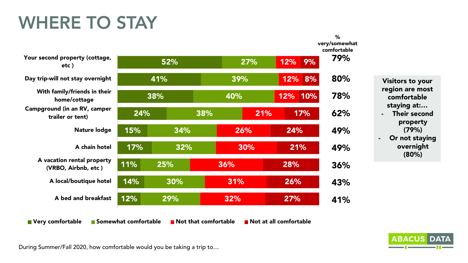#### WHERE TO STAY



**ABACUS DAT** 

During Summer/Fall 2020, how comfortable would you be taking a trip to…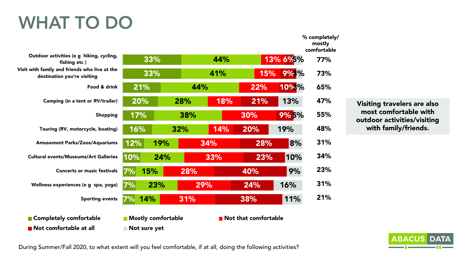### WHAT TO DO

Not comfortable at all Not sure yet

33% 33% 21% 20% 17% 16% 12% 10% 7% 7% 7% 44% 41% 44% 28% 38% 32% 19% 24% 15% 23% 14% 13% 6% 5% 15% 22% 18% 30% 14% 34% 33% 28% 29% 31% 9% 3% 10% 3% 21% 9% 5% 20% 28% 23% 40% 24% 38% 13% 19% 8% 10% 9% 16% 11% Outdoor activities (e g hiking, cycling, fishing etc ) Visit with family and friends who live at the destination you're visiting Food & drink Camping (in a tent or RV/trailer) Shopping Touring (RV, motorcycle, boating) Amusement Parks/Zoos/Aquariums Cultural events/Museums/Art Galleries Concerts or music festivals Wellness experiences (e g spa, yoga) Sporting events **Completely comfortable Completely comfortable** 77% 73% 65% 47% 55% 48% 31% 34% 23% 31% 21% comfortable

Visiting travelers are also most comfortable with outdoor activities/visiting with family/friends.

% completely/ mostly

**ABACUS** 

During Summer/Fall 2020, to what extent will you feel comfortable, if at all, doing the following activities?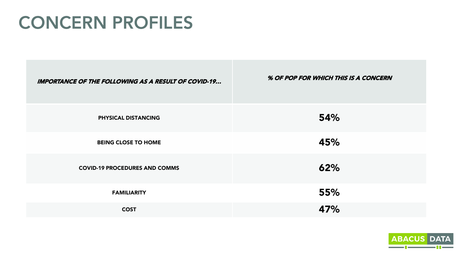#### CONCERN PROFILES

| <b>IMPORTANCE OF THE FOLLOWING AS A RESULT OF COVID-19</b> | % OF POP FOR WHICH THIS IS A CONCERN |
|------------------------------------------------------------|--------------------------------------|
| PHYSICAL DISTANCING                                        | 54%                                  |
| <b>BEING CLOSE TO HOME</b>                                 | 45%                                  |
| <b>COVID-19 PROCEDURES AND COMMS</b>                       | 62%                                  |
| <b>FAMILIARITY</b>                                         | 55%                                  |
| <b>COST</b>                                                | 47%                                  |

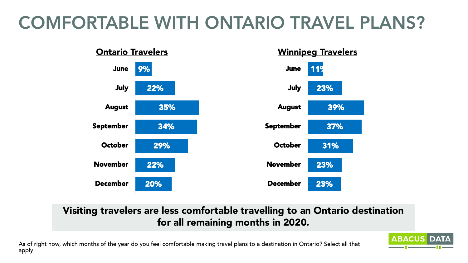### COMFORTABLE WITH ONTARIO TRAVEL PLANS?



#### Visiting travelers are less comfortable travelling to an Ontario destination for all remaining months in 2020.

**ABACUS DAT** 

As of right now, which months of the year do you feel comfortable making travel plans to a destination in Ontario? Select all that apply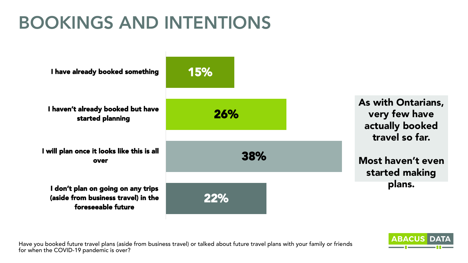### BOOKINGS AND INTENTIONS



Have you booked future travel plans (aside from business travel) or talked about future travel plans with your family or friends for when the COVID-19 pandemic is over?

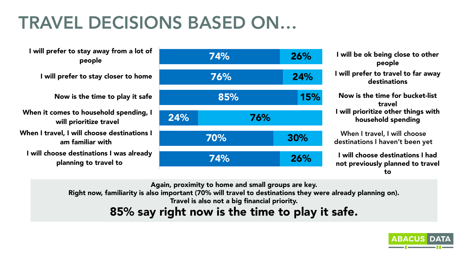### TRAVEL DECISIONS BASED ON…

I will prefer to stay away from a lot of people I will prefer to stay closer to home Now is the time to play it safe When it comes to household spending, I will prioritize travel When I travel, I will choose destinations I am familiar with I will choose destinations I was already planning to travel to



I will be ok being close to other people I will prefer to travel to far away destinations Now is the time for bucket-list travel I will prioritize other things with household spending When I travel, I will choose destinations I haven't been yet I will choose destinations I had not previously planned to travel

to

Again, proximity to home and small groups are key.

Right now, familiarity is also important (70% will travel to destinations they were already planning on).

Travel is also not a big financial priority.

85% say right now is the time to play it safe.

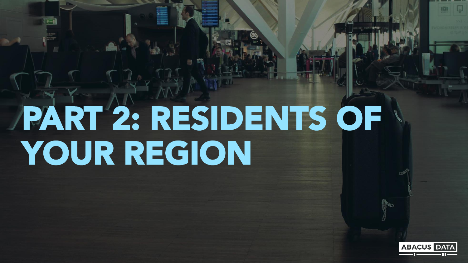# PART 2: RESIDENTS OF YOUR REGION

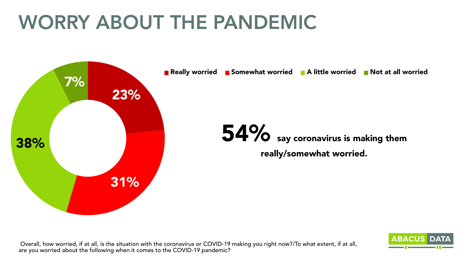# WORRY ABOUT THE PANDEMIC



■ Really worried ■ Somewhat worried ■ A little worried ■ Not at all worried

54% say coronavirus is making them really/somewhat worried.

Overall, how worried, if at all, is the situation with the coronavirus or COVID-19 making you right now?/To what extent, if at all, are you worried about the following when it comes to the COVID-19 pandemic?

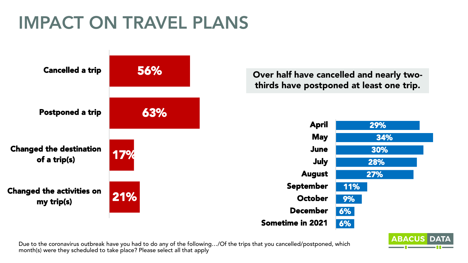### IMPACT ON TRAVEL PLANS



Over half have cancelled and nearly twothirds have postponed at least one trip.



Due to the coronavirus outbreak have you had to do any of the following…/Of the trips that you cancelled/postponed, which month(s) were they scheduled to take place? Please select all that apply

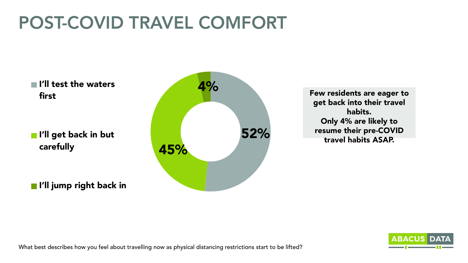### POST-COVID TRAVEL COMFORT

 $\blacksquare$  I'll test the waters  $\blacksquare$ first

I'll get back in but carefully

I'll jump right back in



Few residents are eager to get back into their travel habits. Only 4% are likely to resume their pre-COVID travel habits ASAP.

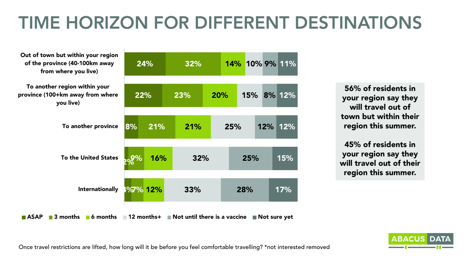### TIME HORIZON FOR DIFFERENT DESTINATIONS

| Out of town but within your region<br>of the province (40-100km away<br>from where you live) | 24%          | 32% |                              | 14% 10% 9% 11% |     |
|----------------------------------------------------------------------------------------------|--------------|-----|------------------------------|----------------|-----|
| To another region within your<br>province (100+km away from where<br>you live)               | 22%          | 23% | <b>20%</b>                   | 15% 8% 12%     |     |
| To another province                                                                          | 8%<br>21%    | 21% | 25%                          | 12%            | 12% |
| <b>To the United States</b>                                                                  | $3\%$<br>16% | 32% |                              | 25%            | 15% |
| Internationally                                                                              | 1%7% 12%     | 33% | 28%                          |                | 17% |
| <b>ASAP</b><br>$\blacksquare$ 3 months<br>6 months                                           | 12 months+   |     | Not until there is a vaccine | ■ Not sure yet |     |

56% of residents in your region say they will travel out of town but within their region this summer.

45% of residents in your region say they will travel out of their region this summer.



Once travel restrictions are lifted, how long will it be before you feel comfortable travelling? \*not interested removed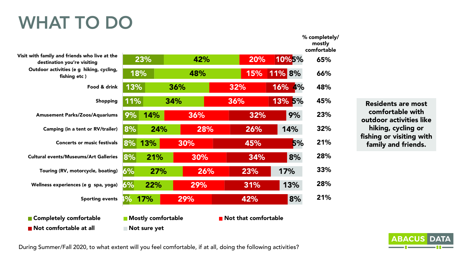### WHAT TO DO

|                                                                              |     |                           |     |     |                                     |               | mostly<br>comfortable |
|------------------------------------------------------------------------------|-----|---------------------------|-----|-----|-------------------------------------|---------------|-----------------------|
| Visit with family and friends who live at the<br>destination you're visiting |     | 23%                       | 42% |     | 20%                                 | 10%5%         | 65%                   |
| Outdoor activities (e g hiking, cycling,<br>fishing etc)                     | 18% |                           | 48% |     | 15%                                 | <b>11% 8%</b> | 66%                   |
| Food & drink                                                                 | 13% |                           | 36% |     | 32%                                 | 16% 4%        | 48%                   |
| <b>Shopping</b>                                                              | 11% |                           | 34% |     | 36%                                 | 13% 5%        | 45%                   |
| <b>Amusement Parks/Zoos/Aquariums</b>                                        | 9%  | <b>14%</b>                | 36% |     | 32%                                 | 9%            | 23%                   |
| Camping (in a tent or RV/trailer)                                            | 8%  | 24%                       |     | 28% | 26%                                 | 14%           | 32%                   |
| <b>Concerts or music festivals</b>                                           | 8%  | 13%                       | 30% |     | 45%                                 | 5%            | 21%                   |
| <b>Cultural events/Museums/Art Galleries</b>                                 | 8%  | 21%                       | 30% |     | 34%                                 | 8%            | 28%                   |
| Touring (RV, motorcycle, boating)                                            | 6%  | 27%                       |     | 26% | 23%                                 | 17%           | 33%                   |
| Wellness experiences (e g spa, yoga)                                         | 6%  | 22%                       | 29% |     | 31%                                 | 13%           | 28%                   |
| <b>Sporting events</b>                                                       | 96  | 17%                       | 29% |     | 42%                                 | 8%            | 21%                   |
| ■ Completely comfortable                                                     |     | <b>Mostly comfortable</b> |     |     | $\blacksquare$ Not that comfortable |               |                       |
| Not comfortable at all                                                       |     | Not sure yet              |     |     |                                     |               |                       |

Residents are most comfortable with outdoor activities like hiking, cycling or fishing or visiting with family and friends.

% completely/

**ABACUS D** 

During Summer/Fall 2020, to what extent will you feel comfortable, if at all, doing the following activities?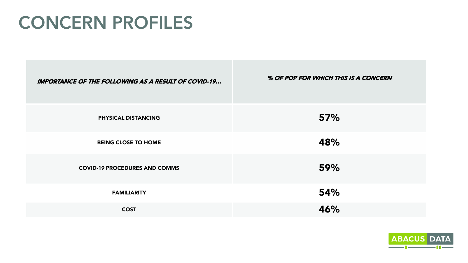#### CONCERN PROFILES

| <b>IMPORTANCE OF THE FOLLOWING AS A RESULT OF COVID-19</b> | % OF POP FOR WHICH THIS IS A CONCERN |
|------------------------------------------------------------|--------------------------------------|
| PHYSICAL DISTANCING                                        | 57%                                  |
| <b>BEING CLOSE TO HOME</b>                                 | 48%                                  |
| <b>COVID-19 PROCEDURES AND COMMS</b>                       | 59%                                  |
| <b>FAMILIARITY</b>                                         | 54%                                  |
| <b>COST</b>                                                | 46%                                  |

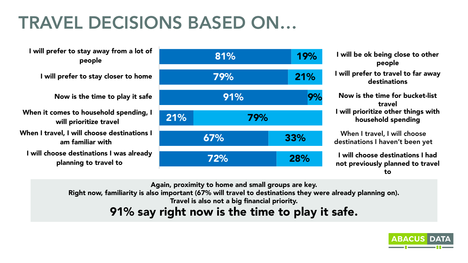### TRAVEL DECISIONS BASED ON…

I will prefer to stay away from a lot of people I will prefer to stay closer to home Now is the time to play it safe When it comes to household spending, I will prioritize travel When I travel, I will choose destinations I am familiar with I will choose destinations I was already planning to travel to



I will be ok being close to other people I will prefer to travel to far away destinations Now is the time for bucket-list travel I will prioritize other things with household spending When I travel, I will choose destinations I haven't been yet I will choose destinations I had

not previously planned to travel to

Again, proximity to home and small groups are key.

Right now, familiarity is also important (67% will travel to destinations they were already planning on).

Travel is also not a big financial priority.

91% say right now is the time to play it safe.

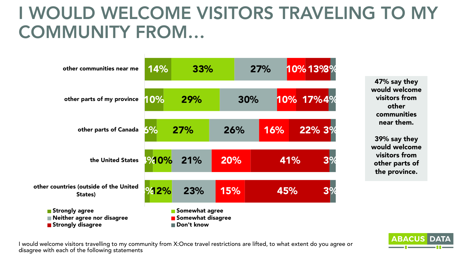#### I WOULD WELCOME VISITORS TRAVELING TO MY COMMUNITY FROM…



47% say they would welcome visitors from other communities near them.

39% say they would welcome visitors from other parts of the province.

I would welcome visitors travelling to my community from X:Once travel restrictions are lifted, to what extent do you agree or disagree with each of the following statements

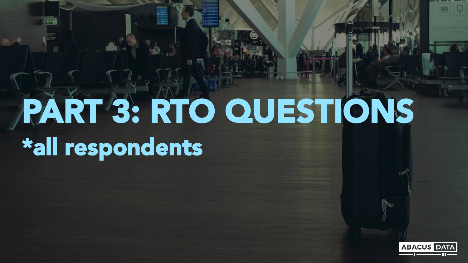# PART 3: RTO QUESTIONS \*all respondents

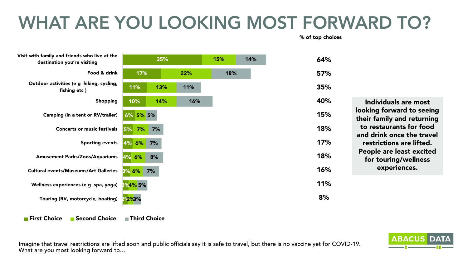### WHAT ARE YOU LOOKING MOST FORWARD TO?

% of top choices

64%

57%

35%

40%

15%

18%

17%

18%

16%

11%

8%



Individuals are most looking forward to seeing their family and returning to restaurants for food and drink once the travel restrictions are lifted. People are least excited for touring/wellness experiences.

■ First Choice ■ Second Choice ■ Third Choice

Imagine that travel restrictions are lifted soon and public officials say it is safe to travel, but there is no vaccine yet for COVID-19. What are you most looking forward to…

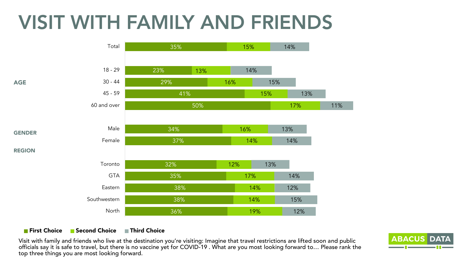# VISIT WITH FAMILY AND FRIENDS



#### **First Choice B** Second Choice First Choice

Visit with family and friends who live at the destination you're visiting: Imagine that travel restrictions are lifted soon and public officials say it is safe to travel, but there is no vaccine yet for COVID-19 . What are you most looking forward to… Please rank the top three things you are most looking forward.

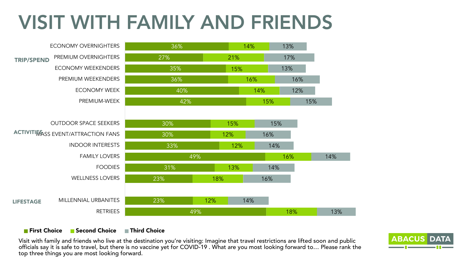# VISIT WITH FAMILY AND FRIENDS



#### **First Choice B** Second Choice First Choice

Visit with family and friends who live at the destination you're visiting: Imagine that travel restrictions are lifted soon and public officials say it is safe to travel, but there is no vaccine yet for COVID-19 . What are you most looking forward to… Please rank the top three things you are most looking forward.

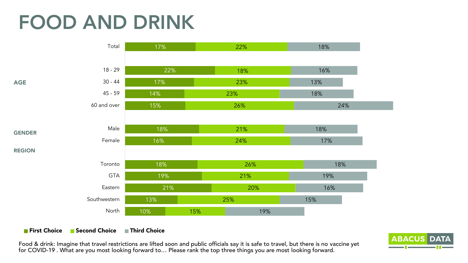# FOOD AND DRINK



#### **First Choice B** Second Choice First Choice

Food & drink: Imagine that travel restrictions are lifted soon and public officials say it is safe to travel, but there is no vaccine yet for COVID-19 . What are you most looking forward to… Please rank the top three things you are most looking forward.

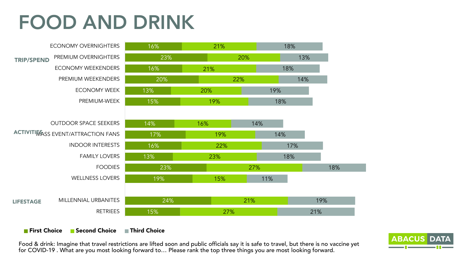## FOOD AND DRINK



#### **First Choice B** Second Choice First Choice

Food & drink: Imagine that travel restrictions are lifted soon and public officials say it is safe to travel, but there is no vaccine yet for COVID-19 . What are you most looking forward to… Please rank the top three things you are most looking forward.

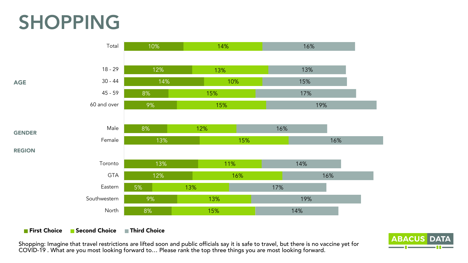## SHOPPING



#### **First Choice B** Second Choice First Choice

Shopping: Imagine that travel restrictions are lifted soon and public officials say it is safe to travel, but there is no vaccine yet for COVID-19 . What are you most looking forward to… Please rank the top three things you are most looking forward.